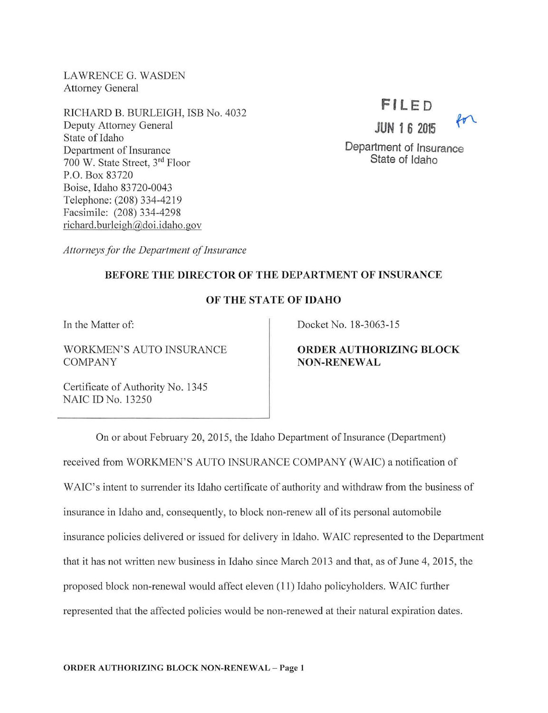LAWRENCE G. WASDEN Attorney General

RJCHARD B. BURLEIGH, ISB No. 4032 Deputy Attorney General State of Idaho Department of Insurance 700 W. State Street, 3<sup>rd</sup> Floor P.O. Box 83720 Boise, Idaho 83720-0043 Telephone: (208) 334-4219 Facsimile: (208) 334-4298 richard.burleigh@doi.idaho.gov

# **Fl LED**

**JUN 1 6 2015** 



**Department of Insurance State of Idaho** 

*Attorneys for the Department of Insurance* 

### **BEFORE THE DIRECTOR OF THE DEPARTMENT OF INSURANCE**

### **OF THE STATE OF IDAHO**

In the Matter of:

WORKMEN'S AUTO INSURANCE COMPANY

Docket No. 18-3063-15

## **ORDER AUTHORIZING BLOCK NON-RENEWAL**

Certificate of Authority No. 1345 NAIC ID No. 13250

On or about February 20, 2015, the Idaho Department of Insurance (Department) received from WORKMEN'S AUTO INSURANCE COMPANY (WAIC) a notification of WAIC's intent to surrender its Idaho certificate of authority and withdraw from the business of insurance in Idaho and, consequently, to block non-renew all of its personal automobile insurance policies delivered or issued for delivery in Idaho. W AIC represented to the Department that it has not written new business in Idaho since March 2013 and that, as of June 4, 2015, the proposed block non-renewal would affect eleven (11) Idaho policyholders. W AIC further represented that the affected policies would be non-renewed at their natural expiration dates.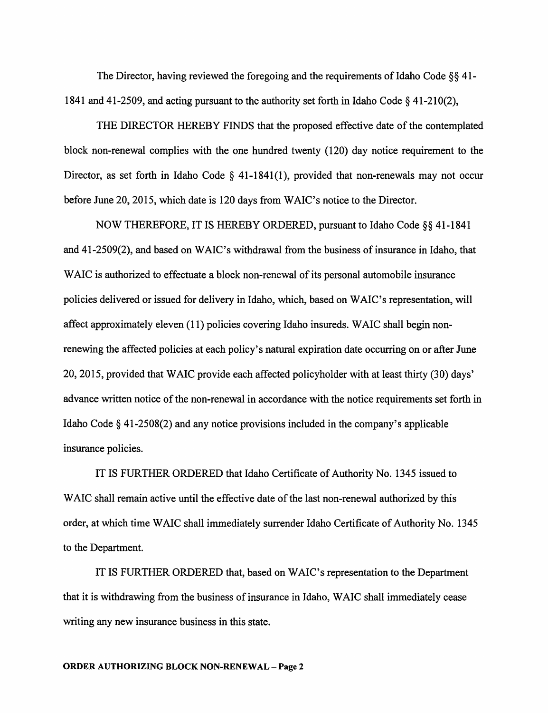The Director, having reviewed the foregoing and the requirements of Idaho Code  $\S$ § 41-1841 and 41-2509, and acting pursuant to the authority set forth in Idaho Code  $\S$  41-210(2),

THE DIRECTOR HEREBY FINDS that the proposed effective date of the contemplated block non-renewal complies with the one hundred twenty (120) day notice requirement to the Director, as set forth in Idaho Code  $\S$  41-1841(1), provided that non-renewals may not occur before June 20, 2015, which date is 120 days from WAIC's notice to the Director.

NOW THEREFORE, IT IS HEREBY ORDERED, pursuant to Idaho Code§§ 41-1841 and 41-2509(2), and based on WAIC's withdrawal from the business of insurance in Idaho, that WAIC is authorized to effectuate a block non-renewal of its personal automobile insurance policies delivered or issued for delivery in Idaho, which, based on W AIC's representation, will affect approximately eleven (11) policies covering Idaho insureds. WAIC shall begin nonrenewing the affected policies at each policy's natural expiration date occurring on or after June 20, 2015, provided that WAIC provide each affected policyholder with at least thirty (30) days' advance written notice of the non-renewal in accordance with the notice requirements set forth in Idaho Code§ 41-2508(2) and any notice provisions included in the company's applicable insurance policies.

IT IS FURTHER ORDERED that Idaho Certificate of Authority No. 1345 issued to WAIC shall remain active until the effective date of the last non-renewal authorized by this order, at which time W AIC shall immediately surrender Idaho Certificate of Authority No. 1345 to the Department.

IT IS FURTHER ORDERED that, based on WAIC's representation to the Department that it is withdrawing from the business of insurance in Idaho, W AIC shall immediately cease writing any new insurance business in this state.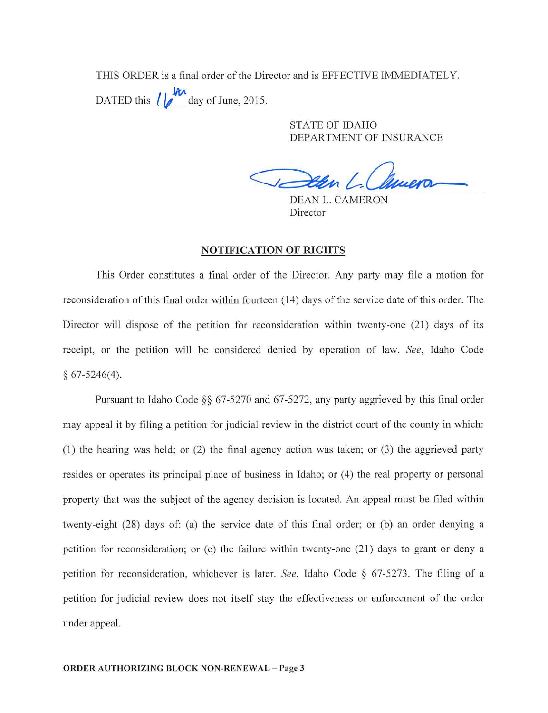THIS ORDER is a final order of the Director and is EFFECTIVE IMMEDIATELY. DATED this  $\frac{1}{\sqrt{2}}$  day of June, 2015.

> STATE OF IDAHO DEPARTMENT OF INSURANCE

DEAN L. CAMERON Director

#### NOTIFICATION OF RIGHTS

This Order constitutes a final order of the Director. Any party may file a motion for reconsideration of this final order within fourteen (14) days of the service date of this order. The Director will dispose of the petition for reconsideration within twenty-one (21) days of its receipt, or the petition will be considered denied by operation of law. *See,* Idaho Code § 67-5246(4).

Pursuant to Idaho Code §§ 67-5270 and 67-5272, any party aggrieved by this final order may appeal it by filing a petition for judicial review in the district court of the county in which: (1) the hearing was held; or (2) the final agency action was taken; or (3) the aggrieved party resides or operates its principal place of business in Idaho; or (4) the real property or personal property that was the subject of the agency decision is located. An appeal must be filed within twenty-eight (28) days of: (a) the service date of this final order; or (b) an order denying a petition for reconsideration; or (c) the failure within twenty-one (21) days to grant or deny a petition for reconsideration, whichever is later. *See,* Idaho Code § 67-5273. The filing of a petition for judicial review does not itself stay the effectiveness or enforcement of the order under appeal.